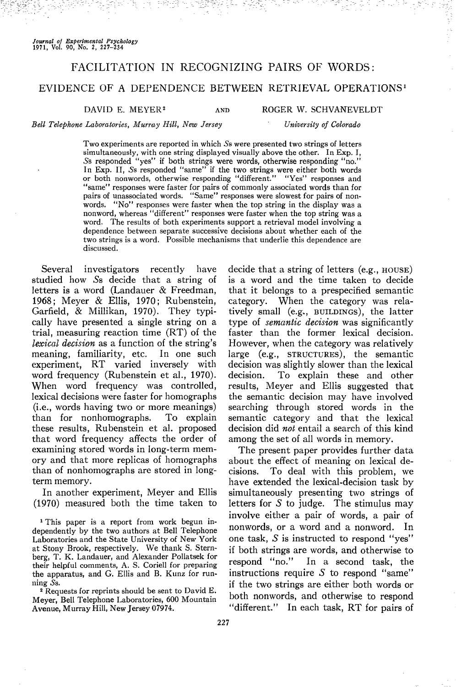# FACILITATION IN RECOGNIZING PAIRS OF WORDS:

# EVIDENCE OF A DEPENDENCE BETWEEN RETRIEVAL OPERATIONS<sup>1</sup>

AND

### DAVID E. MEYER<sup>2</sup>

ROGER W. SCHVANEVELDT

#### *Bell Telephone Laboratories, Murray Hill, New Jersey*

*University of Colorado*

Two experiments are reported in which 5s were presented two strings of letters simultaneously, with one string displayed visually above the other. In Exp. I, 5s responded "yes" if both strings were words, otherwise responding "no." In Exp. II, 5s responded "same" if the two strings were either both words or both nonwords, otherwise responding "different." "Yes" responses and "same" responses were faster for pairs of commonly associated words than for pairs of unassociated words. "Same" responses were slowest for pairs of nonwords. "No" responses were faster when the top string in the display was a nonword, whereas "different" responses were faster when the top string was a word. The results of both experiments support a retrieval model involving a dependence between separate successive decisions about whether each of the two strings is a word. Possible mechanisms that underlie this dependence are discussed.

Several investigators recently have studied how 5s decide that a string of letters is a word (Landauer & Freedman, 1968; Meyer & Ellis, 1970; Rubenstein, Garfield, & Millikan, 1970). They typically have presented a single string on a trial, measuring reaction time (RT) of the *lexical decision* as a function of the string's meaning, familiarity, etc. In one such experiment, RT varied inversely with word frequency (Rubenstein et al., 1970). When word frequency was controlled, lexical decisions were faster for homographs (i.e., words having two or more meanings) than for nonhomographs. To explain these results, Rubenstein et al. proposed that word frequency affects the order of examining stored words in long-term memory and that more replicas of homographs than of nonhomographs are stored in longterm memory.

In another experiment, Meyer and Ellis (1970) measured both the time taken to

<sup>1</sup> This paper is a report from work begun independently by the two authors at Bell Telephone Laboratories and the State University of New York at Stony Brook, respectively. We thank S. Sternberg, T. K. Landauer, and Alexander Pollatsek for their helpful comments, A. S. Coriell for preparing the apparatus, and G. Ellis and B. Kunz for running 5s.

<sup>2</sup> Requests for reprints should be sent to David E. Meyer, Bell Telephone Laboratories, 600 Mountain Avenue, Murray Hill, New Jersey 07974.

decide that a string of letters (e.g., HOUSE) is a word and the time taken to decide that it belongs to a prespecified semantic category. When the category was relatively small (e.g., BUILDINGS), the latter type of *semantic decision* was significantly faster than the former lexical decision. However, when the category was relatively large (e.g., STRUCTURES), the semantic decision was slightly slower than the lexical decision. To explain these and other results, Meyer and Ellis suggested that the semantic decision may have involved searching through stored words in the semantic category and that the lexical decision did *not* entail a search of this kind among the set of all words in memory.

The present paper provides further data about the effect of meaning on lexical decisions. To deal with this problem, we have extended the lexical-decision task by simultaneously presenting two strings of letters for  $S$  to judge. The stimulus may involve either a pair of words, a pair of nonwords, or a word and a nonword. In one task,  $S$  is instructed to respond "yes" if both strings are words, and otherwise to respond "no." In a second task, the instructions require  $S$  to respond "same" if the two strings are either both words or both nonwords, and otherwise to respond "different." In each task, RT for pairs of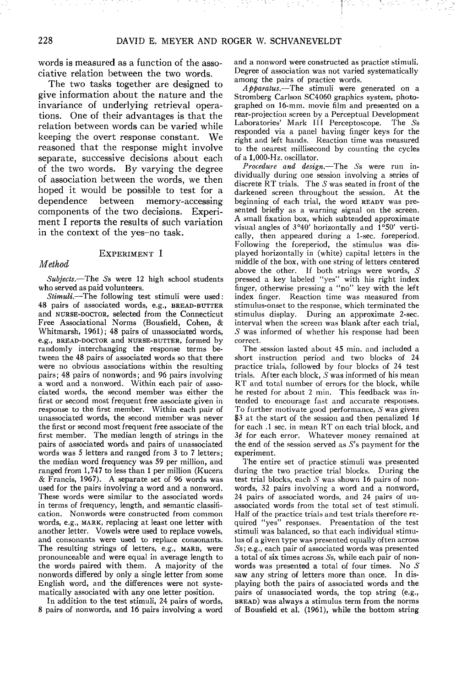words is measured as a function of the associative relation between the two words.

The two tasks together are designed to give information about the nature and the invariance of underlying retrieval operations. One of their advantages is that the relation between words can be varied while keeping the overt response constant. We reasoned that the response might involve separate, successive decisions about each of the two words. By varying the degree of association between the words, we then hoped it would be possible to test for a dependence between memory-accessing components of the two decisions. Experiment I reports the results of such variation in the context of the yes-no task.

#### EXPERIMENT I

# *Method*

*Subjects.*—The 5s were 12 high school students who served as paid volunteers.

*Stimuli.*—The following test stimuli were used: 48 pairs of associated words, e.g., BREAD-BUTTER and NURSE-DOCTOR, selected from the Connecticut Free Associational Norms (Bousfield, Cohen, & Whitmarsh, 1961); 48 pairs of unassociated words, e.g., BREAD-DOCTOR and NURSE-BUTTER, formed by randomly interchanging the response terms between the 48 pairs of associated words so that there were no obvious associations within the resulting pairs; 48 pairs of nonwords; and 96 pairs involving a word and a nonword. Within each pair of associated words, the second member was either the first or second most frequent free associate given in response to the first member. Within each pair of unassociated words, the second member was never the first or second most frequent free associate of the first member. The median length of strings in the pairs of associated words and pairs of unassociated words was 5 letters and ranged from 3 to 7 letters; the median word frequency was 59 per million, and ranged from 1,747 to less than 1 per million (Kucera & Francis, 1967). A separate set of 96 words was used for the pairs involving a word and a nonword. These words were similar to the associated words in terms of frequency, length, and semantic classification. Nonwords were constructed from common words, e.g., MARK, replacing at least one letter with another letter. Vowels were used to replace vowels, and consonants were used to replace consonants. The resulting strings of letters, e.g., MARB, were pronounceable and were equal in average length to the words paired with them. A majority of the nonwords differed by only a single letter from some English word, and the differences were not systematically associated with any one letter position.

In addition to the test stimuli, 24 pairs of words, 8 pairs of nonwords, and 16 pairs involving a word and a nonword were constructed as practice stimuli. Degree of association was not varied systematically among the pairs of practice words.

*Apparatus.*—The stimuli were generated on a Stromberg Carlson SC4060 graphics system, photographed on 16-mm. movie film and presented on a rear-projection screen by a Perceptual Development Laboratories' Mark III Perceptoscope. The Ss responded via a panel having finger keys for the right and left hands. Reaction time was measured to the nearest millisecond by counting the cycles of a 1,000-Hz. oscillator.

*Procedure and design.*—The 5s were run individually during one session involving a series of discrete RT trials. The 5 was seated in front of the darkened screen throughout the session. At the beginning of each trial, the word READY was presented briefly as a warning signal on the screen. A small fixation box, which subtended approximate visual angles of 3°40' horizontally and 1°50' vertically, then appeared during a 1-sec. foreperiod. Following the foreperiod, the stimulus was displayed horizontally in (white) capital letters in the middle of the box, with one string of letters centered above the other. If both strings were words, 5 pressed a key labeled "yes" with his right index finger, otherwise pressing a "no" key with the left index finger. Reaction time was measured from stimulus-onset to the response, which terminated the stimulus display. During an approximate 2-sec. interval when the screen was blank after each trial, 5 was informed of whether his response had been correct.

The session lasted about 45 min. and included a short instruction period and two blocks of 24 practice trials, followed by four blocks of 24 test trials. After each block, 5 was informed of his mean RT and total number of errors for the block, while he rested for about 2 min. This feedback was intended to encourage fast and accurate responses. To further motivate good performance,  $S$  was given \$3 at the start of the session and then penalized  $1\rlap{/}$ for each .1 sec. in mean RT on each trial block, and  $3\notin$  for each error. Whatever money remained at the end of the session served as  $S$ 's payment for the experiment.

The entire set of practice stimuli was presented during the two practice trial blocks. During the test trial blocks, each  $S$  was shown 16 pairs of nonwords, 32 pairs involving a word and a nonword, 24 pairs of associated words, and 24 pairs of unassociated words from the total set of test stimuli. Half of the practice trials and test trials therefore required "yes" responses. Presentation of the test stimuli was balanced, so that each individual stimulus of a given type was presented equally often across 5s; e.g., each pair of associated words was presented a total of six times across 5s, while each pair of nonwords was presented a total of four times. No 5 saw any string of letters more than once. In displaying both the pairs of associated words and the pairs of unassociated words, the top string (e.g., BREAD) was always a stimulus term from the norms of Bousfield et al. (1961), while the bottom string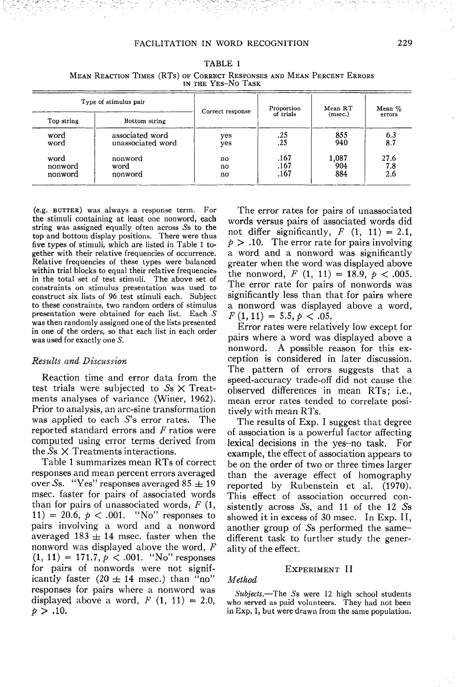# FACILITATION IN WORD RECOGNITION 229

| Type of stimulus pair |                   | Correct response | Proportion | Mean RT | Mean $\%$ |
|-----------------------|-------------------|------------------|------------|---------|-----------|
| Top string            | Bottom string     |                  | of trials  | (msec.) | errors    |
| word                  | associated word   | yes              | .25        | 855     | 6.3       |
| word                  | unassociated word | yes              | .25        | 940     | 8.7       |
| word                  | nonword           | no               | .167       | 1,087   | 27.6      |
| nonword               | word              | no               | .167       | 904     | 7.8       |
| nonword               | nonword           | no               | .167       | 884     | 2.6       |

TABLE 1 MEAN REACTION TIMES (RTs) OF CORRECT RESPONSES AND MEAN PERCENT ERRORS IN THE YES-NO TASK

(e.g. BUTTER) was always a response term. For the stimuli containing at least one nonword, each string was assigned equally often across 5s to the top and bottom display positions. There were thus five types of stimuli, which are listed in Table 1 together with their relative frequencies of occurrence. Relative frequencies of these types were balanced within trial blocks to equal their relative frequencies in the total set of test stimuli. The above set of constraints on stimulus presentation was used to construct six lists of 96 test stimuli each. Subject to these constraints, two random orders of stimulus presentation were obtained for each list. Each S was then randomly assigned one of the lists presented in one of the orders, so that each list in each order was used for exactly one S.

#### *Results and Discussion*

Reaction time and error data from the test trials were subjected to *Ss* X Treatments analyses of variance (Winer, 1962). Prior to analysis, an arc-sine transformation was applied to each S's error rates. The reported standard errors and *F* ratios were computed using error terms derived from the 5s X Treatments interactions.

Table 1 summarizes mean RTs of correct responses and mean percent errors averaged over Ss. "Yes" responses averaged  $85 \pm 19$ msec, faster for pairs of associated words than for pairs of unassociated words, *F* (1, 11) = 20.6,  $p < .001$ . "No" responses to pairs involving a word and a nonword averaged 183  $\pm$  14 msec. faster when the nonword was displayed above the word, *F*  $(1, 11) = 171.7, p < .001.$  "No" responses for pairs of nonwords were not significantly faster  $(20 \pm 14 \text{ msec.})$  than "no" responses for pairs where a nonword was displayed above a word,  $F(1, 11) = 2.0$ ,  $p > .10$ .

The error rates for pairs of unassociated words versus pairs of associated words did not differ significantly,  $F(1, 11) = 2.1$ ,  $p > 0.10$ . The error rate for pairs involving a word and a nonword was significantly greater when the word was displayed above the nonword,  $F(1, 11) = 18.9, \, p < .005$ . The error rate for pairs of nonwords was significantly less than that for pairs where a nonword was displayed above a word,  $F(1,11) = 5.5, p < .05.$ 

Error rates were relatively low except for pairs where a word was displayed above a nonword. A possible reason for this exception is considered in later discussion. The pattern of errors suggests that a speed-accuracy trade-off did not cause the observed differences in mean RTs; i.e., mean error rates tended to correlate positively with mean RTs.

The results of Exp, I suggest that degree of association is a powerful factor affecting lexical decisions in the yes-no task. For example, the effect of association appears to be on the order of two or three times larger than the average effect of homography reported by Rubenstein et al. (1970). This effect of association occurred consistently across  $S_s$ , and 11 of the 12  $S_s$ showed it in excess of 30 msec. In Exp. II, another group of 5s performed the samedifferent task to further study the generality of the effect.

#### EXPERIMENT II

#### *Method*

*Subjects.*—The 5s were 12 high school students who served as paid volunteers. They had not been in Exp. I, but were drawn from the same population.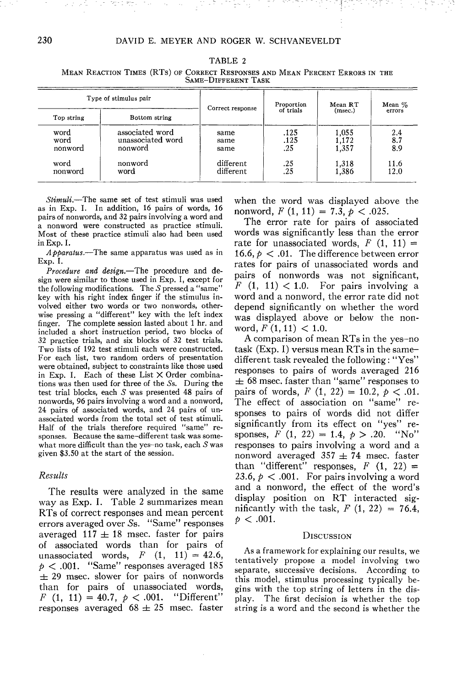| JAME-DIFFERENT LASK     |                                                 |                        |                     |                         |                   |  |  |  |  |
|-------------------------|-------------------------------------------------|------------------------|---------------------|-------------------------|-------------------|--|--|--|--|
|                         | Type of stimulus pair                           |                        | Proportion          | Mean RT                 | Mean %            |  |  |  |  |
| Top string              | Bottom string                                   | Correct response       | of trials           | (msec.)                 | errors            |  |  |  |  |
| word<br>word<br>nonword | associated word<br>unassociated word<br>nonword | same<br>same<br>same   | .125<br>.125<br>.25 | 1.055<br>1,172<br>1,357 | 2.4<br>8.7<br>8.9 |  |  |  |  |
| word<br>nonword         | nonword<br>word                                 | different<br>different | .25<br>.25          | 1,318<br>1,386          | 11.6<br>12.0      |  |  |  |  |

TABLE 2

MEAN REACTION TIMES (RTs) OF CORRECT RESPONSES AND MEAN PERCENT ERRORS IN THE SAME-DIFFERENT TASK

*Stimuli.*—The same set of test stimuli was used as in Exp. I. In addition, 16 pairs of words, 16 pairs of nonwords, and 32 pairs involving a word and a nonword were constructed as practice stimuli. Most of these practice stimuli also had been used in Exp. I.

*Apparatus.*—The same apparatus was used as in Exp. I.

*Procedure and design.*—The procedure and design were similar to those used in Exp. I, except for the following modifications. The  $S$  pressed a "same" key with his right index finger if the stimulus involved either two words or two nonwords, otherwise pressing a "different" key with the left index finger. The complete session lasted about 1 hr. and included a short instruction period, two blocks of 32 practice trials, and six blocks of 32 test trials. Two lists of 192 test stimuli each were constructed. For each list, two random orders of presentation were obtained, subject to constraints like those used in Exp. I. Each of these List  $\times$  Order combinations was then used for three of the 5s. During the test trial blocks, each 5 was presented 48 pairs of nonwords, 96 pairs involving a word and a nonword, 24 pairs of associated words, and 24 pairs of unassociated words from the total set of test stimuli. Half of the trials therefore required "same" responses. Because the same-different task was somewhat more difficult than the yes-no task, each  $S$  was given \$3.50 at the start of the session.

#### *Results*

The results were analyzed in the same way as Exp. I. Table 2 summarizes mean RTs of correct responses and mean percent errors averaged over 5s. "Same" responses averaged  $117 \pm 18$  msec, faster for pairs of associated words than for pairs of unassociated words,  $F(1, 11) = 42.6$ ,  $p < .001$ . "Same" responses averaged 185  $\pm$  29 msec, slower for pairs of nonwords than for pairs of unassociated words, *F*  $(1, 11) = 40.7, p < .001.$  "Different" responses averaged  $68 \pm 25$  msec, faster

when the word was displayed above the nonword, *F* (1, 11) = 7.3, *p <* .025.

The error rate for pairs of associated words was significantly less than the error rate for unassociated words,  $F(1, 11) =$ 16.6,  $p < 0.01$ . The difference between error rates for pairs of unassociated words and pairs of nonwords was not significant, *F*  $(1, 11) < 1.0$ . For pairs involving a word and a nonword, the error rate did not depend significantly on whether the word was displayed above or below the nonword,  $F(1, 11) < 1.0$ .

A comparison of mean RTs in the yes-no task (Exp. I) versus mean RTs in the samedifferent task revealed the following: "Yes" responses to pairs of words averaged 216  $\pm$  68 msec, faster than "same" responses to pairs of words,  $F(1, 22) = 10.2, p < .01$ . The effect of association on "same" responses to pairs of words did not differ significantly from its effect on "yes" responses,  $F(1, 22) = 1.4, p > .20$ . "No" responses to pairs involving a word and a nonword averaged  $357 \pm 74$  msec, faster than "different" responses,  $F(1, 22) =$ 23.6,  $p < .001$ . For pairs involving a word and a nonword, the effect of the word's display position on RT interacted significantly with the task,  $F(1, 22) = 76.4$ ,  $p < .001$ .

#### **DISCUSSION**

As a framework for explaining our results, we tentatively propose a model involving two separate, successive decisions. According to this model, stimulus processing typically begins with the top string of letters in the display. The first decision is whether the top string is a word and the second is whether the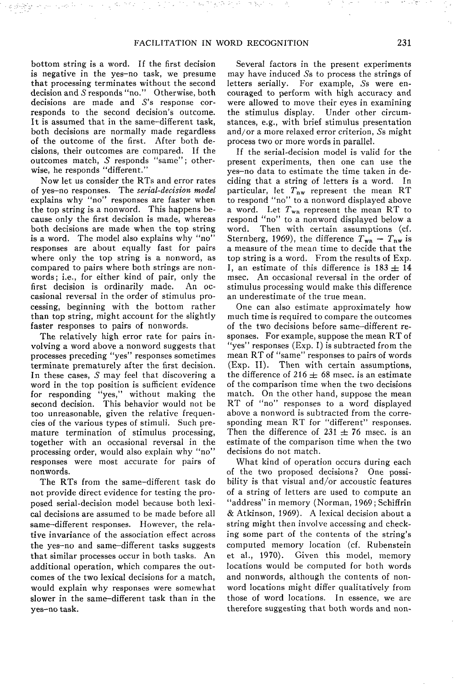bottom string is a word. If the first decision is negative in the yes-no task, we presume that processing terminates without the second decision and *S* responds "no." Otherwise, both decisions are made and S's response corresponds to the second decision's outcome. It is assumed that in the same-different task, both decisions are normally made regardless of the outcome of the first. After both decisions, their outcomes are compared. If the outcomes match, *S* responds "same"; otherwise, he responds "different."

Now let us consider the RTs and error rates of yes-no responses. The *serial-decision model* explains why "no" responses are faster when the top string is a nonword. This happens because only the first decision is made, whereas both decisions are made when the top string is a word. The model also explains why "no" responses are about equally fast for pairs where only the top string is a nonword, as compared to pairs where both strings are nonwords; i.e., for either kind of pair, only the first decision is ordinarily made. An occasional reversal in the order of stimulus processing, beginning with the bottom rather than top string, might account for the slightly faster responses to pairs of nonwords.

The relatively high error rate for pairs involving a word above a nonword suggests that processes preceding "yes" responses sometimes terminate prematurely after the first decision. In these cases,  $S$  may feel that discovering a word in the top position is sufficient evidence for responding "yes," without making the second decision. This behavior would not be too unreasonable, given the relative frequencies of the various types of stimuli. Such premature termination of stimulus processing, together with an occasional reversal in the processing order, would also explain why "no" responses were most accurate for pairs of nonwords.

The RTs from the same-different task do not provide direct evidence for testing the proposed serial-decision model because both lexical decisions are assumed to be made before all same-different responses. However, the relative invariance of the association effect across the yes-no and same-different tasks suggests that similar processes occur in both tasks. An additional operation, which compares the outcomes of the two lexical decisions for a match, would explain why responses were somewhat slower in the same-different task than in the yes-no task.

Several factors in the present experiments may have induced 5s to process the strings of letters serially. For example, *Ss* were encouraged to perform with high accuracy and were allowed to move their eyes in examining the stimulus display. Under other circumstances, e.g., with brief stimulus presentation and/or a more relaxed error criterion, 5s might process two or more words in parallel.

If the serial-decision model is valid for the present experiments, then one can use the yes-no data to estimate the time taken in deciding that a string of letters is a word. In particular, let  $T_{\text{nw}}$  represent the mean RT to respond "no" to a nonword displayed above a word. Let *Tvn* represent the mean RT to respond "no" to a nonword displayed below a word. Then with certain assumptions (cf. Sternberg, 1969), the difference  $T_{\text{wn}} - T_{\text{nw}}$  is a measure of the mean time to decide that the top string is a word. From the results of Exp. I, an estimate of this difference is  $183 \pm 14$ msec. An occasional reversal in the order of stimulus processing would make this difference an underestimate of the true mean.

One can also estimate approximately how much time is required to compare the outcomes of the two decisions before same-different responses. For example, suppose the mean RT of "yes" responses (Exp. I) is subtracted from the mean RT of "same" responses to pairs of words (Exp. II). Then with certain assumptions, the difference of 216  $\pm$  68 msec, is an estimate of the comparison time when the two decisions match. On the other hand, suppose the mean RT of "no" responses to a word displayed above a nonword is subtracted from the corresponding mean RT for "different" responses. Then the difference of  $231 \pm 76$  msec, is an estimate of the comparison time when the two decisions do not match.

What kind of operation occurs during each of the two proposed decisions? One possibility is that visual and/or accoustic features of a string of letters are used to compute an "address" in memory (Norman, 1969 ; Schiffrin & Atkinson, 1969). A lexical decision about a string might then involve accessing and checking some part of the contents of the string's computed memory location (cf. Rubenstein et al., 1970). Given this model, memory locations would be computed for both words and nonwords, although the contents of nonword locations might differ qualitatively from those of word locations. In essence, we are therefore suggesting that both words and non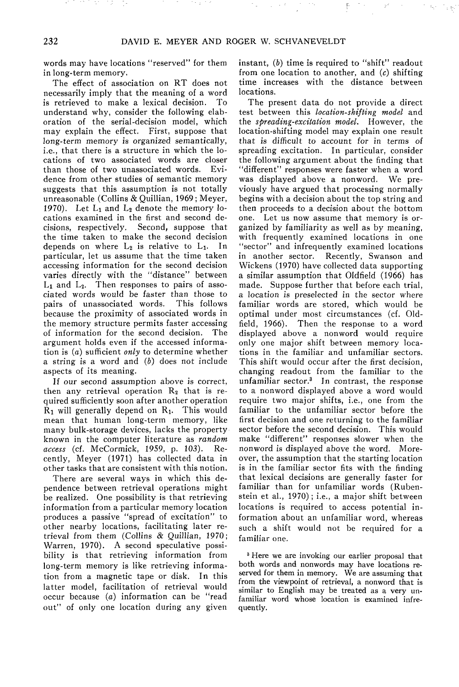words may have locations "reserved" for them in long-term memory.

The effect of association on RT does not necessarily imply that the meaning of a word is retrieved to make a lexical decision. To understand why, consider the following elaboration of the serial-decision model, which may explain the effect. First, suppose that long-term memory is organized semantically, i.e., that there is a structure in which the locations of two associated words are closer than those of two unassociated words. Evidence from other studies of semantic memory suggests that this assumption is not totally unreasonable (Collins & Quillian, 1969; Meyer, 1970). Let  $L_1$  and  $L_2$  denote the memory locations examined in the first and second decisions, respectively. Second, suppose that the time taken to make the second decision depends on where  $L_2$  is relative to  $L_1$ . In particular, let us assume that the time taken accessing information for the second decision varies directly with the "distance" between  $L_1$  and  $L_2$ . Then responses to pairs of associated words would be faster than those to pairs of unassociated words. because the proximity of associated words in the memory structure permits faster accessing of information for the second decision. The argument holds even if the accessed information is (a) sufficient *only* to determine whether a string is a word and  $(b)$  does not include aspects of its meaning.

If our second assumption above is correct, then any retrieval operation  $R_2$  that is required sufficiently soon after another operation  $R_1$  will generally depend on  $R_1$ . This would mean that human long-term memory, like many bulk-storage devices, lacks the property known in the computer literature as *random access* (cf. McCormick, 1959, p. 103). Recently, Meyer (1971) has collected data in other tasks that are consistent with this notion.

There are several ways in which this dependence between retrieval operations might be realized. One possibility is that retrieving information from a particular memory location produces a passive "spread of excitation" to other nearby locations, facilitating later retrieval from them (Collins & Quillian, 1970; Warren, 1970). A second speculative possibility is that retrieving information from long-term memory is like retrieving information from a magnetic tape or disk. In this latter model, facilitation of retrieval would occur because *(a)* information can be "read out" of only one location during any given

instant, *(b)* time is required to "shift" readout from one location to another, and *(c)* shifting time increases with the distance between locations.

The present data do not provide a direct test between this *location-shifting model* and the *spreading-excitation model.* However, the location-shifting model may explain one result that is difficult to account for in terms of spreading excitation. In particular, consider the following argument about the finding that "different" responses were faster when a word was displayed above a nonword. We previously have argued that processing normally begins with a decision about the top string and then proceeds to a decision about the bottom one. Let us now assume that memory is organized by familiarity as well as by meaning, with frequently examined locations in one "sector" and infrequently examined locations in another sector. Recently, Swanson and Wickens (1970) have collected data supporting a similar assumption that Oldfield (1966) has made. Suppose further that before each trial, a location is preselected in the sector where familiar words are stored, which would be optimal under most circumstances (cf. Oldfield, 1966). Then the response to a word displayed above a nonword would require only one major shift between memory locations in the familiar and unfamiliar sectors. This shift would occur after the first decision, changing readout from the familiar to the<br>unfamiliar sector.<sup>3</sup> In contrast, the response to a nonword displayed above a word would require two major shifts, i.e., one from the familiar to the unfamiliar sector before the first decision and one returning to the familiar sector before the second decision. This would make "different" responses slower when the nonword is displayed above the word. Moreover, the assumption that the starting location is in the familiar sector fits with the finding that lexical decisions are generally faster for familiar than for unfamiliar words (Rubenstein et al., 1970); i.e., a major shift between locations is required to access potential information about an unfamiliar word, whereas such a shift would not be required for a familiar one.

<sup>3</sup> Here we are invoking our earlier proposal that both words and nonwords may have locations reserved for them in memory. We are assuming that from the viewpoint of retrieval, a nonword that is similar to English may be treated as a very unfamiliar word whose location is examined infrequently.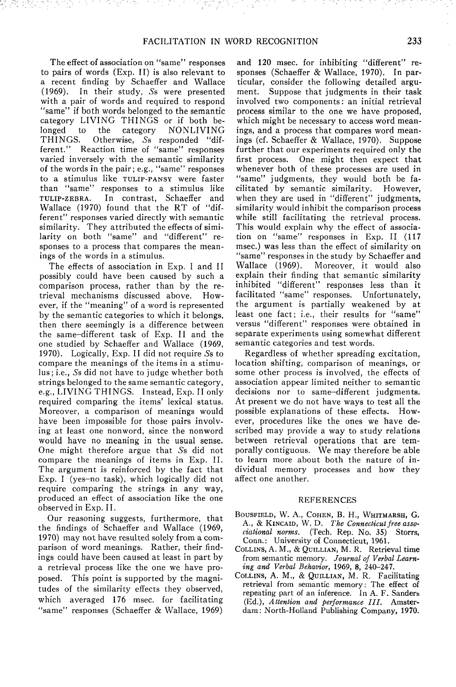The effect of association on "same" responses to pairs of words (Exp. II) is also relevant to a recent finding by Schaeffer and Wallace (1969). In their study, 5s were presented with a pair of words and required to respond "same" if both words belonged to the semantic category LIVING THINGS or if both belonged to the category NONLIVING<br>THINGS. Otherwise, Ss responded "dif-Otherwise, Ss responded "different." Reaction time of "same" responses varied inversely with the semantic similarity of the words in the pair; e.g., "same" responses to a stimulus like TULIP-PANSY were faster than "same" responses to a stimulus like<br>TULIP-ZEBRA. In contrast, Schaeffer and In contrast, Schaeffer and Wallace (1970) found that the RT of "different" responses varied directly with semantic similarity. They attributed the effects of similarity on both "same" and "different" responses to a process that compares the meanings of the words in a stimulus.

The effects of association in Exp. I and II possibly could have been caused by such a comparison process, rather than by the retrieval mechanisms discussed above. However, if the "meaning" of a word is represented by the semantic categories to which it belongs, then there seemingly is a difference between the same-different task of Exp. II and the one studied by Schaeffer and Wallace (1969, 1970). Logically, Exp. II did not require 5s to compare the meanings of the items in a stimulus ; i.e., 5s did not have to judge whether both strings belonged to the same semantic category, e.g., LIVING THINGS. Instead, Exp. II only required comparing the items' lexical status. Moreover, a comparison of meanings would have been impossible for those pairs involving at least one nonword, since the nonword would have no meaning in the usual sense. One might therefore argue that 5s did not compare the meanings of items in Exp. II. The argument is reinforced by the fact that Exp. I (yes-no task), which logically did not require comparing the strings in any way, produced an effect of association like the one observed in Exp. II.

Our reasoning suggests, furthermore, that the findings of Schaeffer and Wallace (1969, 1970) may not have resulted solely from a comparison of word meanings. Rather, their findings could have been caused at least in part by a retrieval process like the one we have proposed. This point is supported by the magnitudes of the similarity effects they observed, which averaged 176 msec, for facilitating "same" responses (Schaeffer & Wallace, 1969)

and 120 msec, for inhibiting "different" responses (Schaeffer & Wallace, 1970). In particular, consider the following detailed argument. Suppose that judgments in their task involved two components: an initial retrieval process similar to the one we have proposed, which might be necessary to access word meanings, and a process that compares word meanings (cf. Schaeffer & Wallace, 1970). Suppose further that our experiments required only the first process. One might then expect that whenever both of these processes are used in "same" judgments, they would both be facilitated by semantic similarity. However, when they are used in "different" judgments, similarity would inhibit the comparison process while still facilitating the retrieval process. This would explain why the effect of association on "same" responses in Exp. II (117 msec.) was less than the effect of similarity on "same" responses in the study by Schaeffer and Wallace (1969). Moreover, it would also explain their finding that semantic similarity inhibited "different" responses less than it facilitated "same" responses. Unfortunately, the argument is partially weakened by at least one fact; i.e., their results for "same" versus "different" responses were obtained in separate experiments using somewhat different semantic categories and test words.

Regardless of whether spreading excitation, location shifting, comparison of meanings, or some other process is involved, the effects of association appear limited neither to semantic decisions nor to same-different judgments. At present we do not have ways to test all the possible explanations of these effects. However, procedures like the ones we have described may provide a way to study relations between retrieval operations that are temporally contiguous. We may therefore be able to learn more about both the nature of individual memory processes and how they affect one another.

#### REFERENCES

- BOUSFIELD, W. A., COHEN, B. H., WHITMARSH, G. A., & KINCAID, W. D. *The Connecticut free associational norms.* (Tech. Rep. No. 35) Storrs, Conn.: University of Connecticut, 1961.
- COLLINS, A. M., & QUILLIAN, M. R. Retrieval time from semantic memory. *Journal of Verbal Learning and Verbal Behavior,* 1969, 8, 240-247.
- COLLINS, A. M., & QUILLIAN, M. R. Facilitating retrieval from semantic memory: The effect of repeating part of an inference. In A. F. Sanders (Ed.), *Attention and performance III.* Amsterdam: North-Holland Publishing Company, 1970.